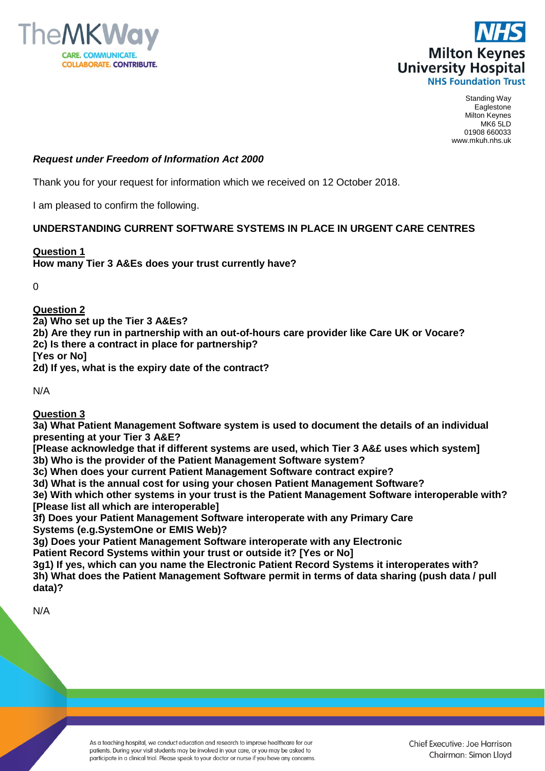



Standing Way Eaglestone Milton Keynes MK6 5LD 01908 660033 www.mkuh.nhs.uk

## *Request under Freedom of Information Act 2000*

Thank you for your request for information which we received on 12 October 2018.

I am pleased to confirm the following.

### **UNDERSTANDING CURRENT SOFTWARE SYSTEMS IN PLACE IN URGENT CARE CENTRES**

### **Question 1**

**How many Tier 3 A&Es does your trust currently have?**

0

## **Question 2**

**2a) Who set up the Tier 3 A&Es?**

**2b) Are they run in partnership with an out-of-hours care provider like Care UK or Vocare?**

**2c) Is there a contract in place for partnership?**

**[Yes or No]**

**2d) If yes, what is the expiry date of the contract?**

N/A

**Question 3**

**3a) What Patient Management Software system is used to document the details of an individual presenting at your Tier 3 A&E?**

**[Please acknowledge that if different systems are used, which Tier 3 A&£ uses which system] 3b) Who is the provider of the Patient Management Software system?**

**3c) When does your current Patient Management Software contract expire?**

**3d) What is the annual cost for using your chosen Patient Management Software?** 

**3e) With which other systems in your trust is the Patient Management Software interoperable with? [Please list all which are interoperable]**

**3f) Does your Patient Management Software interoperate with any Primary Care Systems (e.g.SystemOne or EMIS Web)?**

**3g) Does your Patient Management Software interoperate with any Electronic Patient Record Systems within your trust or outside it? [Yes or No]**

**3g1) If yes, which can you name the Electronic Patient Record Systems it interoperates with? 3h) What does the Patient Management Software permit in terms of data sharing (push data / pull data)?** 

N/A

As a teaching hospital, we conduct education and research to improve healthcare for our patients. During your visit students may be involved in your care, or you may be asked to participate in a clinical trial. Please speak to your doctor or nurse if you have any concerns.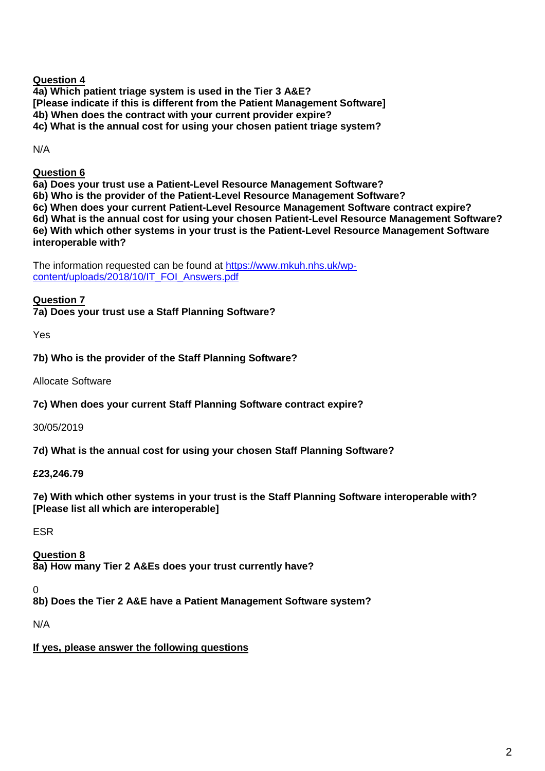# **Question 4**

**4a) Which patient triage system is used in the Tier 3 A&E? [Please indicate if this is different from the Patient Management Software] 4b) When does the contract with your current provider expire? 4c) What is the annual cost for using your chosen patient triage system?** 

N/A

# **Question 6**

**6a) Does your trust use a Patient-Level Resource Management Software?**

**6b) Who is the provider of the Patient-Level Resource Management Software?**

**6c) When does your current Patient-Level Resource Management Software contract expire?**

**6d) What is the annual cost for using your chosen Patient-Level Resource Management Software? 6e) With which other systems in your trust is the Patient-Level Resource Management Software interoperable with?** 

The information requested can be found at [https://www.mkuh.nhs.uk/wp](https://www.mkuh.nhs.uk/wp-content/uploads/2018/10/IT_FOI_Answers.pdf)[content/uploads/2018/10/IT\\_FOI\\_Answers.pdf](https://www.mkuh.nhs.uk/wp-content/uploads/2018/10/IT_FOI_Answers.pdf)

# **Question 7**

**7a) Does your trust use a Staff Planning Software?**

Yes

**7b) Who is the provider of the Staff Planning Software?**

Allocate Software

**7c) When does your current Staff Planning Software contract expire?**

30/05/2019

**7d) What is the annual cost for using your chosen Staff Planning Software?** 

# **£23,246.79**

**7e) With which other systems in your trust is the Staff Planning Software interoperable with? [Please list all which are interoperable]**

ESR

**Question 8 8a) How many Tier 2 A&Es does your trust currently have?**

 $\Omega$ 

**8b) Does the Tier 2 A&E have a Patient Management Software system?**

N/A

**If yes, please answer the following questions**